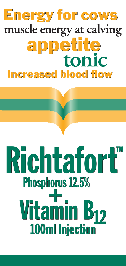# **Energy for cows** muscle energy at calving appetite tonic **Increased blood flow**

## Richtafort<sup>M</sup><br>Phosphorus 12.5% Phosphorus 12.5% Vitamin B<sub>12</sub> **10ru**<br>--<br>----100ml Injection **Vitamin B12**<br>100ml Injection **noru<br>+** TM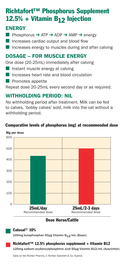### Richtafort™ Phosphorus Supplement 12.5% + Vitamin B12 Injection

### ENERGY

- **n** Phosphorus  $\rightarrow$  ATP  $\rightarrow$  ADP  $\rightarrow$  AMP  $\rightarrow$  energy
- $\blacksquare$  Increases cardiac output and blood flow
- Increases energy to muscles during and after calving

### DOSAGE – FOR MUSCLE ENERGY

One dose (20-25mL) immediately after calving

- $\blacksquare$  Instant muscle energy at calving
- **n Increases heart rate and blood circulation**
- $\blacksquare$  Promotes appetite

Repeat dose 20-25mL every second day or as required.

### WITHHOLDING PERIOD: NIL

No withholding period after treatment. Milk can be fed to calves, 'bobby calves' sold, milk into the vat without a withholding period.

### Comparative levels of phosphorus (mg) at recommended dose



#### Dose Horse/Cattle



Catosal® 10%

100mg butaphosphan 50µg Vitamin B<sub>12</sub>/mL (Bayer)

#### Richtafort™ 12.5% phosphorus supplement + Vitamin B12

125mg sodium-oxybenzylphosphinic acid 50µg Vitamin B12/mL (Ausrichter)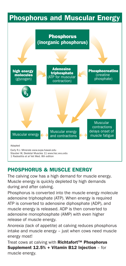### Phosphorus and Muscular Energy

Phosphorus & Energy



### PHOSPHORUS & MUSCLE ENERGY

The calving cow has a high demand for muscle energy. Muscle energy is quickly depleted by high demands during and after calving.

Phosphorus is converted into the muscle energy molecule adenosine triphosphate (ATP). When energy is required ATP is converted to adenosine diphosphate (ADP), and muscle energy is released. ADP is then converted to adenosine monophosphate (AMP) with even higher release of muscle energy.

Anorexia (lack of appetite) at calving reduces phosphorus intake and muscle energy – just when cows need muscle energy most!

Treat cows at calving with Richtafort™ Phosphorus Supplement 12.5% + Vitamin B12 Injection – for muscle energy.